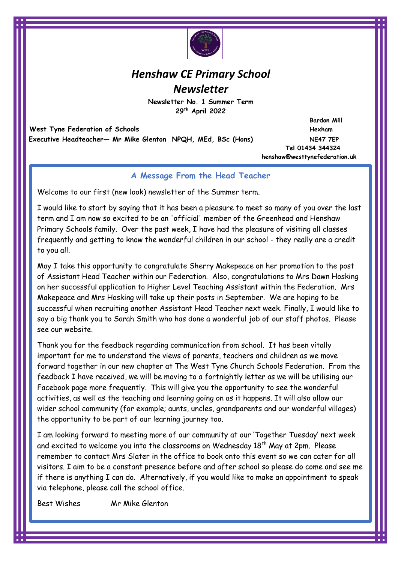

# *Henshaw CE Primary School Newsletter*

**Newsletter No. 1 Summer Term 29th April 2022** 

West Tyne Federation of Schools *Hexham* **Executive Headteacher— Mr Mike Glenton NPQH, MEd, BSc (Hons) NE47 7EP** 

 **Bardon Mill Tel 01434 344324 henshaw@westtynefederation.uk**

# **A Message From the Head Teacher**

Welcome to our first (new look) newsletter of the Summer term.

I would like to start by saying that it has been a pleasure to meet so many of you over the last term and I am now so excited to be an 'official' member of the Greenhead and Henshaw Primary Schools family. Over the past week, I have had the pleasure of visiting all classes frequently and getting to know the wonderful children in our school - they really are a credit to you all.

May I take this opportunity to congratulate Sherry Makepeace on her promotion to the post of Assistant Head Teacher within our Federation. Also, congratulations to Mrs Dawn Hosking on her successful application to Higher Level Teaching Assistant within the Federation. Mrs Makepeace and Mrs Hosking will take up their posts in September. We are hoping to be successful when recruiting another Assistant Head Teacher next week. Finally, I would like to say a big thank you to Sarah Smith who has done a wonderful job of our staff photos. Please see our website.

Thank you for the feedback regarding communication from school. It has been vitally important for me to understand the views of parents, teachers and children as we move forward together in our new chapter at The West Tyne Church Schools Federation. From the feedback I have received, we will be moving to a fortnightly letter as we will be utilising our Facebook page more frequently. This will give you the opportunity to see the wonderful activities, as well as the teaching and learning going on as it happens. It will also allow our wider school community (for example; aunts, uncles, grandparents and our wonderful villages) the opportunity to be part of our learning journey too.

I am looking forward to meeting more of our community at our 'Together Tuesday' next week and excited to welcome you into the classrooms on Wednesday 18<sup>th</sup> May at 2pm. Please remember to contact Mrs Slater in the office to book onto this event so we can cater for all visitors. I aim to be a constant presence before and after school so please do come and see me if there is anything I can do. Alternatively, if you would like to make an appointment to speak via telephone, please call the school office.

Best Wishes Mr Mike Glenton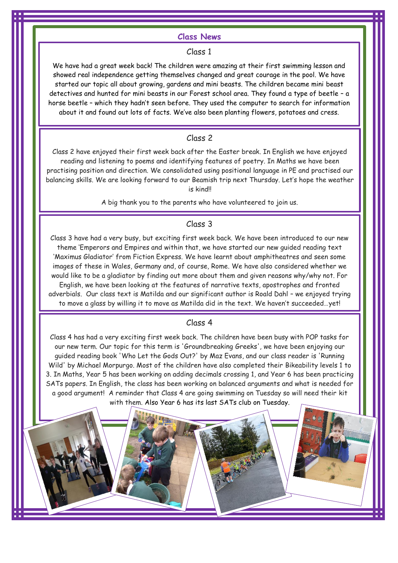#### **Class News**

#### Class 1

We have had a great week back! The children were amazing at their first swimming lesson and showed real independence getting themselves changed and great courage in the pool. We have started our topic all about growing, gardens and mini beasts. The children became mini beast detectives and hunted for mini beasts in our Forest school area. They found a type of beetle – a horse beetle – which they hadn't seen before. They used the computer to search for information about it and found out lots of facts. We've also been planting flowers, potatoes and cress.

## Class 2

Class 2 have enjoyed their first week back after the Easter break. In English we have enjoyed reading and listening to poems and identifying features of poetry. In Maths we have been practising position and direction. We consolidated using positional language in PE and practised our balancing skills. We are looking forward to our Beamish trip next Thursday. Let's hope the weather is kind!!

A big thank you to the parents who have volunteered to join us.

## Class 3

Class 3 have had a very busy, but exciting first week back. We have been introduced to our new theme 'Emperors and Empires and within that, we have started our new guided reading text 'Maximus Gladiator' from Fiction Express. We have learnt about amphitheatres and seen some images of these in Wales, Germany and, of course, Rome. We have also considered whether we would like to be a gladiator by finding out more about them and given reasons why/why not. For English, we have been looking at the features of narrative texts, apostrophes and fronted adverbials. Our class text is Matilda and our significant author is Roald Dahl – we enjoyed trying to move a glass by willing it to move as Matilda did in the text. We haven't succeeded…yet!

#### Finally, our music module from  $\mathcal{L}$  music module from  $\mathcal{L}$  from  $\mathcal{L}$  from  $\mathcal{L}$   $\mathcal{L}$  and  $\mathcal{L}$  $Class 4$

Class 4 has had a very exciting first week back. The children have been busy with POP tasks for our new term. Our topic for this term is 'Groundbreaking Greeks', we have been enjoying our guided reading book 'Who Let the Gods Out?' by Maz Evans, and our class reader is 'Running Wild' by Michael Morpurgo. Most of the children have also completed their Bikeability levels 1 to 3. In Maths, Year 5 has been working on adding decimals crossing 1, and Year 6 has been practicing SATs papers. In English, the class has been working on balanced arguments and what is needed for a good argument! A reminder that Class 4 are going swimming on Tuesday so will need their kit with them. Also Year 6 has its last SATs club on Tuesday.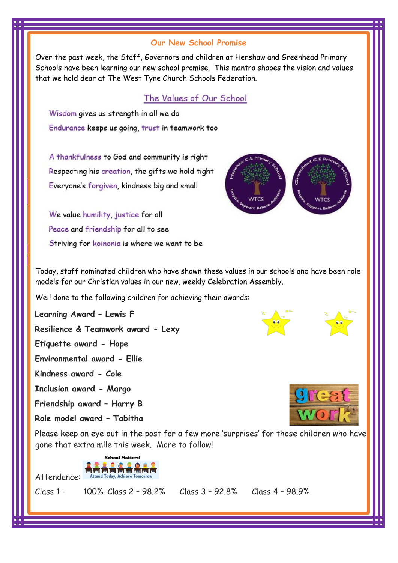# **Our New School Promise**

Over the past week, the Staff, Governors and children at Henshaw and Greenhead Primary Schools have been learning our new school promise. This mantra shapes the vision and values that we hold dear at The West Tyne Church Schools Federation.

# The Values of Our School

Wisdom gives us strength in all we do Endurance keeps us going, trust in teamwork too

A thankfulness to God and community is right Respecting his creation, the gifts we hold tight Everyone's forgiven, kindness big and small

We value humility, justice for all Peace and friendship for all to see Striving for koinonia is where we want to be



Today, staff nominated children who have shown these values in our schools and have been role models for our Christian values in our new, weekly Celebration Assembly.

Well done to the following children for achieving their awards:

**Learning Award – Lewis F**

**Resilience & Teamwork award - Lexy**

**Etiquette award - Hope**

**Environmental award - Ellie**

**Kindness award - Cole**

**Inclusion award - Margo**

**Friendship award – Harry B**

**Role model award – Tabitha**

Please keep an eye out in the post for a few more 'surprises' for those children who have gone that extra mile this week. More to follow!



Class 1 - 100% Class 2 – 98.2% Class 3 – 92.8% Class 4 – 98.9%